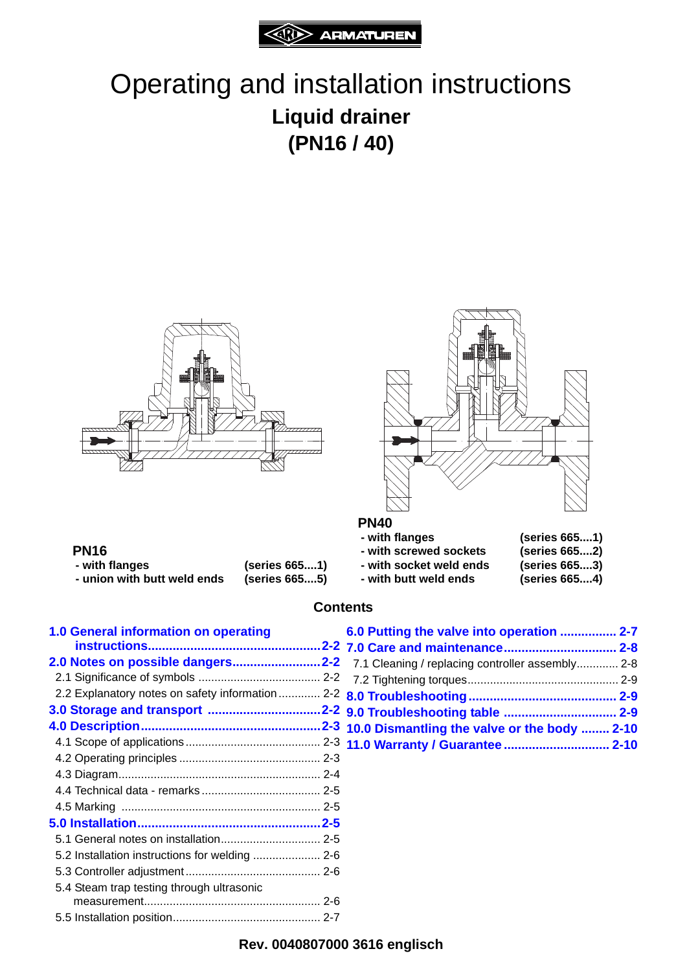

# Operating and installation instructions **Liquid drainer (PN16 / 40)**





- **PN16**
- **union with butt weld ends (series 665....5)**
- **with flanges (series 665....1)**
- **PN40**<br>- with flanges **- with flanges (series 665....1) - with screwed sockets (series 665....2) - with socket weld ends (series 665....3) - with butt weld ends (series 665....4)**

#### **Contents**

| 1.0 General information on operating             |  |
|--------------------------------------------------|--|
|                                                  |  |
| 2.0 Notes on possible dangers2-2                 |  |
|                                                  |  |
| 2.2 Explanatory notes on safety information  2-2 |  |
|                                                  |  |
|                                                  |  |
|                                                  |  |
|                                                  |  |
|                                                  |  |
|                                                  |  |
|                                                  |  |
|                                                  |  |
|                                                  |  |
| 5.2 Installation instructions for welding  2-6   |  |
|                                                  |  |
| 5.4 Steam trap testing through ultrasonic        |  |
|                                                  |  |
|                                                  |  |

| 6.0 Putting the valve into operation  2-7        |  |
|--------------------------------------------------|--|
|                                                  |  |
| 7.1 Cleaning / replacing controller assembly 2-8 |  |
|                                                  |  |
|                                                  |  |
|                                                  |  |
| 10.0 Dismantling the valve or the body  2-10     |  |
| 11.0 Warranty / Guarantee  2-10                  |  |

#### **Rev. 0040807000 3616 englisch**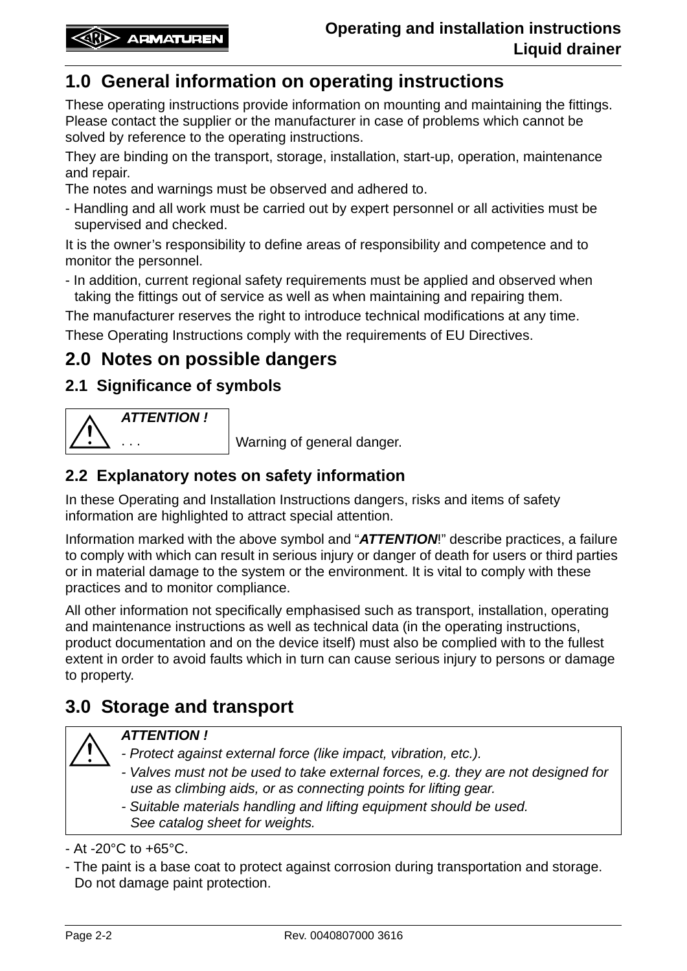# **1.0 General information on operating instructions**

These operating instructions provide information on mounting and maintaining the fittings. Please contact the supplier or the manufacturer in case of problems which cannot be solved by reference to the operating instructions.

They are binding on the transport, storage, installation, start-up, operation, maintenance and repair.

The notes and warnings must be observed and adhered to.

- Handling and all work must be carried out by expert personnel or all activities must be supervised and checked.

It is the owner's responsibility to define areas of responsibility and competence and to monitor the personnel.

- In addition, current regional safety requirements must be applied and observed when taking the fittings out of service as well as when maintaining and repairing them.

The manufacturer reserves the right to introduce technical modifications at any time.

These Operating Instructions comply with the requirements of EU Directives.

# **2.0 Notes on possible dangers**

#### **2.1 Significance of symbols**



Warning of general danger.

#### **2.2 Explanatory notes on safety information**

In these Operating and Installation Instructions dangers, risks and items of safety information are highlighted to attract special attention.

Information marked with the above symbol and "*ATTENTION*!" describe practices, a failure to comply with which can result in serious injury or danger of death for users or third parties or in material damage to the system or the environment. It is vital to comply with these practices and to monitor compliance.

All other information not specifically emphasised such as transport, installation, operating and maintenance instructions as well as technical data (in the operating instructions, product documentation and on the device itself) must also be complied with to the fullest extent in order to avoid faults which in turn can cause serious injury to persons or damage to property.

# **3.0 Storage and transport**

#### *ATTENTION !*

- *Protect against external force (like impact, vibration, etc.).*
- *Valves must not be used to take external forces, e.g. they are not designed for use as climbing aids, or as connecting points for lifting gear.*

*- Suitable materials handling and lifting equipment should be used. See catalog sheet for weights.*

 $-$  At  $-20^{\circ}$ C to  $+65^{\circ}$ C.

- The paint is a base coat to protect against corrosion during transportation and storage. Do not damage paint protection.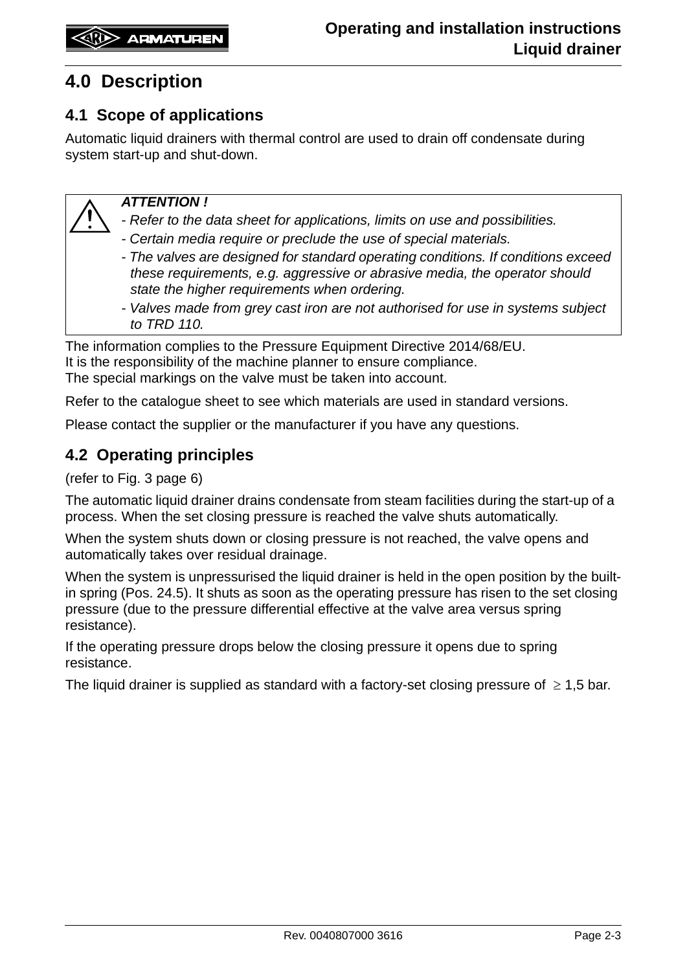# **4.0 Description**

#### **4.1 Scope of applications**

Automatic liquid drainers with thermal control are used to drain off condensate during system start-up and shut-down.

#### *ATTENTION !*

*- Refer to the data sheet for applications, limits on use and possibilities.*

- *Certain media require or preclude the use of special materials.*
- *The valves are designed for standard operating conditions. If conditions exceed these requirements, e.g. aggressive or abrasive media, the operator should state the higher requirements when ordering.*
- *Valves made from grey cast iron are not authorised for use in systems subject to TRD 110.*

The information complies to the Pressure Equipment Directive 2014/68/EU. It is the responsibility of the machine planner to ensure compliance. The special markings on the valve must be taken into account.

Refer to the catalogue sheet to see which materials are used in standard versions.

Please contact the supplier or the manufacturer if you have any questions.

#### **4.2 Operating principles**

(refer to Fig. 3 page 6)

The automatic liquid drainer drains condensate from steam facilities during the start-up of a process. When the set closing pressure is reached the valve shuts automatically.

When the system shuts down or closing pressure is not reached, the valve opens and automatically takes over residual drainage.

When the system is unpressurised the liquid drainer is held in the open position by the builtin spring (Pos. 24.5). It shuts as soon as the operating pressure has risen to the set closing pressure (due to the pressure differential effective at the valve area versus spring resistance).

If the operating pressure drops below the closing pressure it opens due to spring resistance.

The liquid drainer is supplied as standard with a factory-set closing pressure of  $\geq 1.5$  bar.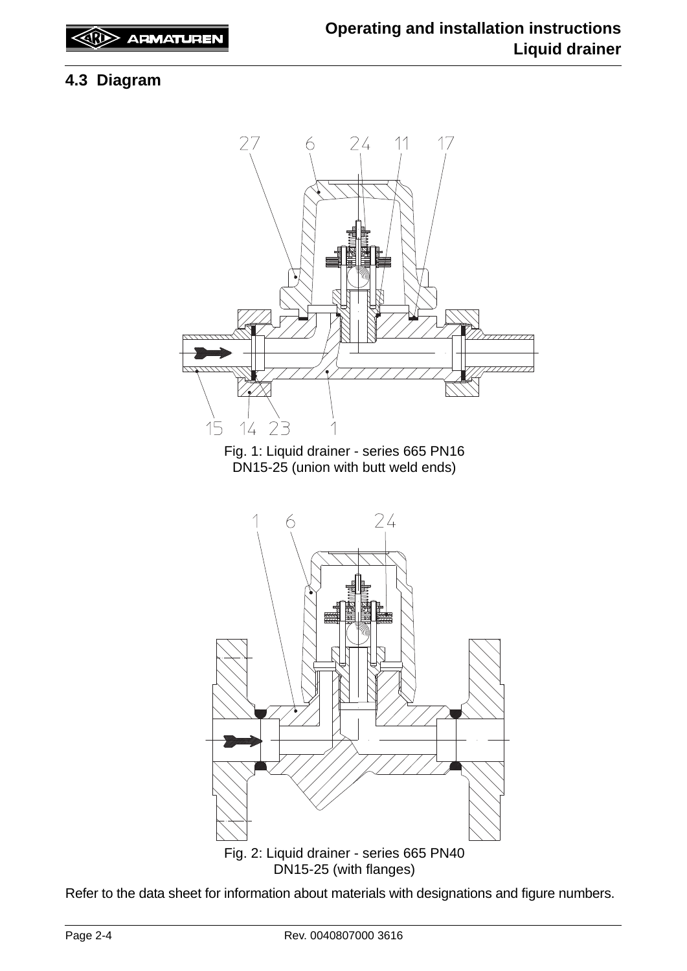### **4.3 Diagram**



Refer to the data sheet for information about materials with designations and figure numbers.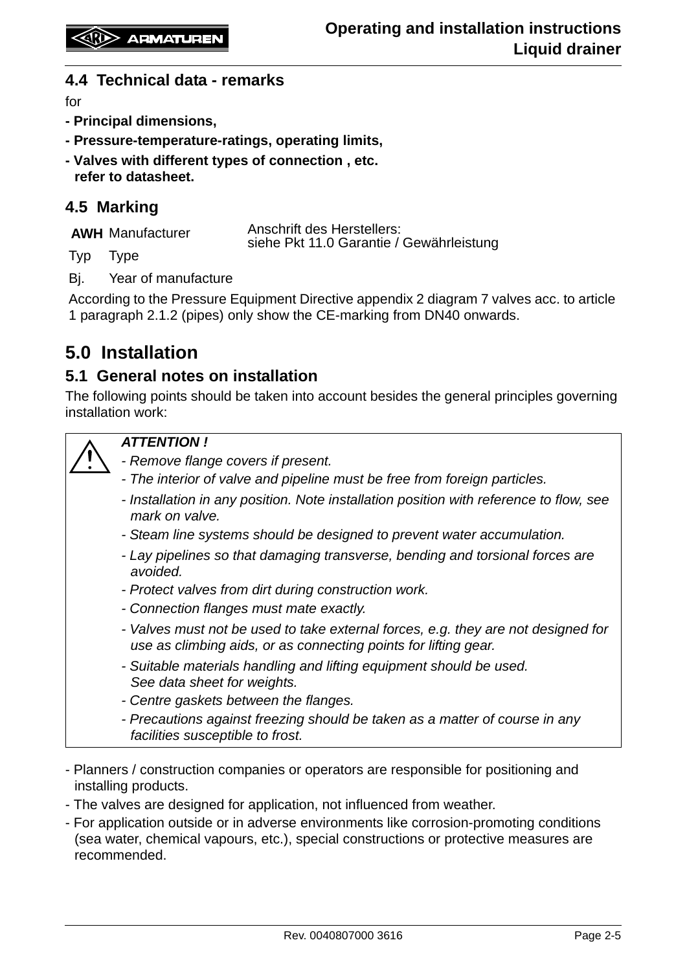#### **4.4 Technical data - remarks**

for

- **Principal dimensions,**
- **Pressure-temperature-ratings, operating limits,**
- **Valves with different types of connection , etc. refer to datasheet.**

#### **4.5 Marking**

|     | <b>AWH Manufacturer</b> | <b>Anschrift des Herstellers:</b><br>siehe Pkt 11.0 Garantie / Gewährleistung |
|-----|-------------------------|-------------------------------------------------------------------------------|
| Typ | Type                    |                                                                               |

Bj. Year of manufacture

According to the Pressure Equipment Directive appendix 2 diagram 7 valves acc. to article 1 paragraph 2.1.2 (pipes) only show the CE-marking from DN40 onwards.

# **5.0 Installation**

#### **5.1 General notes on installation**

The following points should be taken into account besides the general principles governing installation work:



#### *ATTENTION !*

*- Remove flange covers if present.*

- *The interior of valve and pipeline must be free from foreign particles.*
- *Installation in any position. Note installation position with reference to flow, see mark on valve.*
- *Steam line systems should be designed to prevent water accumulation.*
- *Lay pipelines so that damaging transverse, bending and torsional forces are avoided.*
- *Protect valves from dirt during construction work.*
- *Connection flanges must mate exactly.*
- *Valves must not be used to take external forces, e.g. they are not designed for use as climbing aids, or as connecting points for lifting gear.*
- *Suitable materials handling and lifting equipment should be used. See data sheet for weights.*
- *Centre gaskets between the flanges.*
- *Precautions against freezing should be taken as a matter of course in any facilities susceptible to frost.*
- Planners / construction companies or operators are responsible for positioning and installing products.
- The valves are designed for application, not influenced from weather.
- For application outside or in adverse environments like corrosion-promoting conditions (sea water, chemical vapours, etc.), special constructions or protective measures are recommended.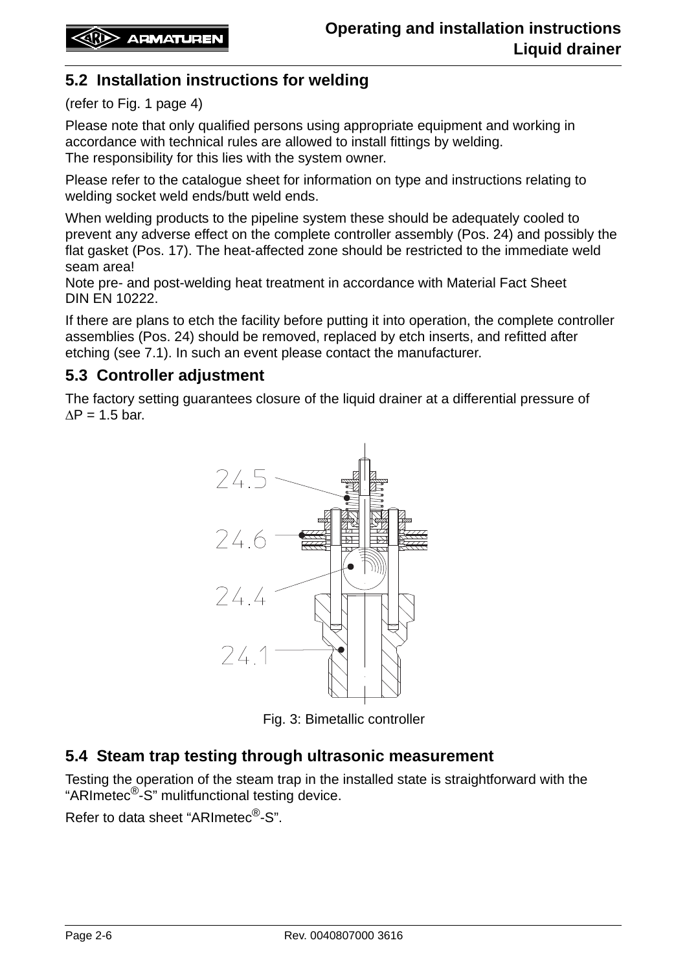#### **5.2 Installation instructions for welding**

#### (refer to Fig. 1 page 4)

Please note that only qualified persons using appropriate equipment and working in accordance with technical rules are allowed to install fittings by welding. The responsibility for this lies with the system owner.

Please refer to the catalogue sheet for information on type and instructions relating to welding socket weld ends/butt weld ends.

When welding products to the pipeline system these should be adequately cooled to prevent any adverse effect on the complete controller assembly (Pos. 24) and possibly the flat gasket (Pos. 17). The heat-affected zone should be restricted to the immediate weld seam area!

Note pre- and post-welding heat treatment in accordance with Material Fact Sheet DIN EN 10222.

If there are plans to etch the facility before putting it into operation, the complete controller assemblies (Pos. 24) should be removed, replaced by etch inserts, and refitted after etching (see 7.1). In such an event please contact the manufacturer.

#### **5.3 Controller adjustment**

The factory setting guarantees closure of the liquid drainer at a differential pressure of  $\Delta P = 1.5$  bar.



Fig. 3: Bimetallic controller

#### **5.4 Steam trap testing through ultrasonic measurement**

Testing the operation of the steam trap in the installed state is straightforward with the "ARImetec®-S" mulitfunctional testing device.

Refer to data sheet "ARImetec®-S".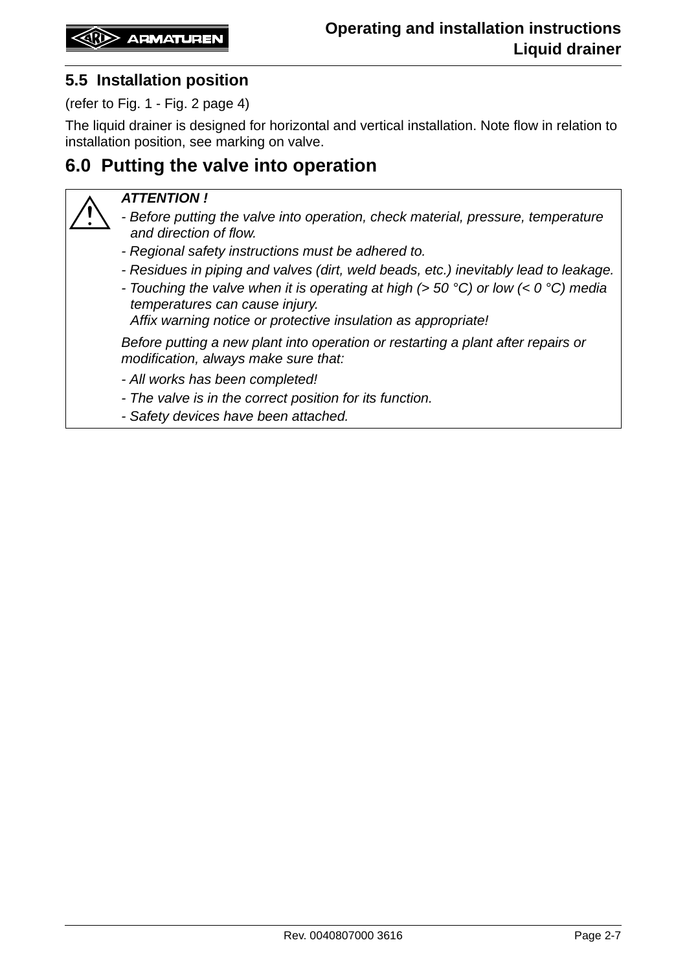#### <span id="page-6-1"></span>**5.5 Installation position**

(refer to Fig. 1 - Fig. 2 page 4)

The liquid drainer is designed for horizontal and vertical installation. Note flow in relation to installation position, see marking on valve.

# <span id="page-6-0"></span>**6.0 Putting the valve into operation**

#### *ATTENTION !*

- *Before putting the valve into operation, check material, pressure, temperature and direction of flow.*
- *Regional safety instructions must be adhered to.*
- *Residues in piping and valves (dirt, weld beads, etc.) inevitably lead to leakage.*
- *Touching the valve when it is operating at high (> 50 °C) or low (< 0 °C) media temperatures can cause injury.*

*Affix warning notice or protective insulation as appropriate!*

*Before putting a new plant into operation or restarting a plant after repairs or modification, always make sure that:*

*- All works has been completed!*

- *The valve is in the correct position for its function.*
- *Safety devices have been attached.*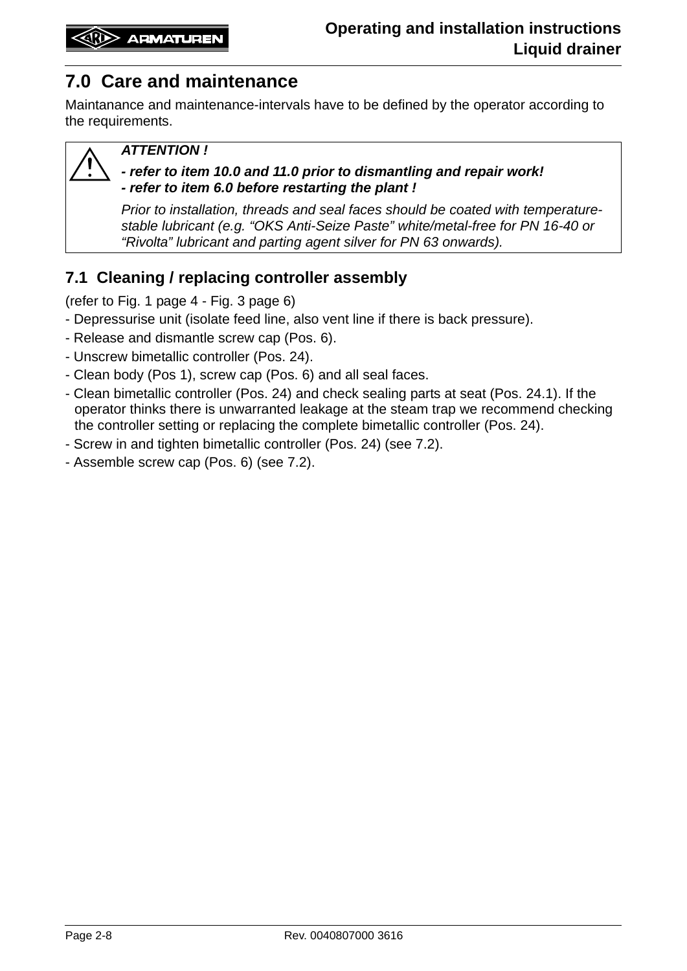# **7.0 Care and maintenance**

Maintanance and maintenance-intervals have to be defined by the operator according to the requirements.

#### *ATTENTION !*

#### *- refer to item [10.0](#page-9-0) and [11.0](#page-9-1) prior to dismantling and repair work! - refer to item [6.0](#page-6-0) before restarting the plant !*

*Prior to installation, threads and seal faces should be coated with temperaturestable lubricant (e.g. "OKS Anti-Seize Paste" white/metal-free for PN 16-40 or "Rivolta" lubricant and parting agent silver for PN 63 onwards).*

## <span id="page-7-0"></span>**7.1 Cleaning / replacing controller assembly**

(refer to Fig. 1 page 4 - Fig. 3 page 6)

- Depressurise unit (isolate feed line, also vent line if there is back pressure).
- Release and dismantle screw cap (Pos. 6).
- Unscrew bimetallic controller (Pos. 24).
- Clean body (Pos 1), screw cap (Pos. 6) and all seal faces.
- Clean bimetallic controller (Pos. 24) and check sealing parts at seat (Pos. 24.1). If the operator thinks there is unwarranted leakage at the steam trap we recommend checking the controller setting or replacing the complete bimetallic controller (Pos. 24).
- Screw in and tighten bimetallic controller (Pos. 24) (see 7.2).
- Assemble screw cap (Pos. 6) (see 7.2).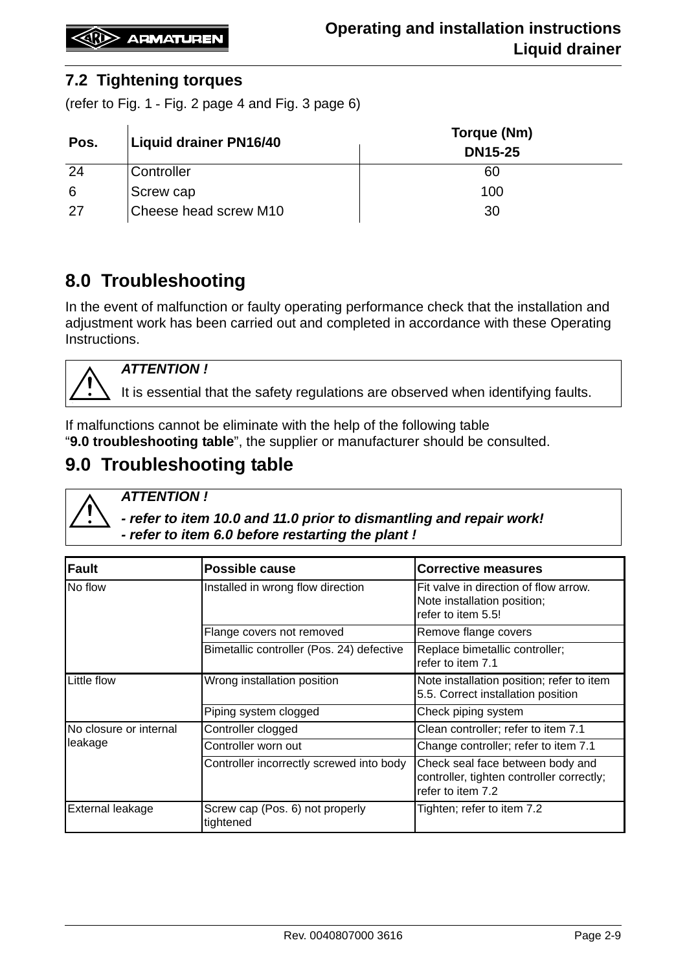#### <span id="page-8-0"></span>**7.2 Tightening torques**

(refer to Fig. 1 - Fig. 2 page 4 and Fig. 3 page 6)

| Pos. | <b>Liquid drainer PN16/40</b> | Torque (Nm)<br><b>DN15-25</b> |
|------|-------------------------------|-------------------------------|
| 24   | Controller                    | 60                            |
| -6   | Screw cap                     | 100                           |
| -27  | Cheese head screw M10         | 30                            |

# **8.0 Troubleshooting**

In the event of malfunction or faulty operating performance check that the installation and adjustment work has been carried out and completed in accordance with these Operating Instructions.



*ATTENTION !*

It is essential that the safety regulations are observed when identifying faults.

If malfunctions cannot be eliminate with the help of the following table "**9.0 troubleshooting table**", the supplier or manufacturer should be consulted.

# **9.0 Troubleshooting table**

*ATTENTION !* 

*- refer to item [10.0](#page-9-0) and [11.0](#page-9-1) prior to dismantling and repair work! - refer to item [6.0](#page-6-0) before restarting the plant !*

| Fault                  | <b>Possible cause</b>                        | <b>Corrective measures</b>                                                                         |
|------------------------|----------------------------------------------|----------------------------------------------------------------------------------------------------|
| No flow                | Installed in wrong flow direction            | Fit valve in direction of flow arrow.<br>Note installation position;<br>refer to item 5.5!         |
|                        | Flange covers not removed                    | Remove flange covers                                                                               |
|                        | Bimetallic controller (Pos. 24) defective    | Replace bimetallic controller;<br>refer to item 7.1                                                |
| Little flow            | Wrong installation position                  | Note installation position; refer to item<br>5.5. Correct installation position                    |
|                        | Piping system clogged                        | Check piping system                                                                                |
| No closure or internal | Controller clogged                           | Clean controller; refer to item 7.1                                                                |
| leakage                | Controller worn out                          | Change controller; refer to item 7.1                                                               |
|                        | Controller incorrectly screwed into body     | Check seal face between body and<br>controller, tighten controller correctly;<br>refer to item 7.2 |
| External leakage       | Screw cap (Pos. 6) not properly<br>tightened | Tighten; refer to item 7.2                                                                         |